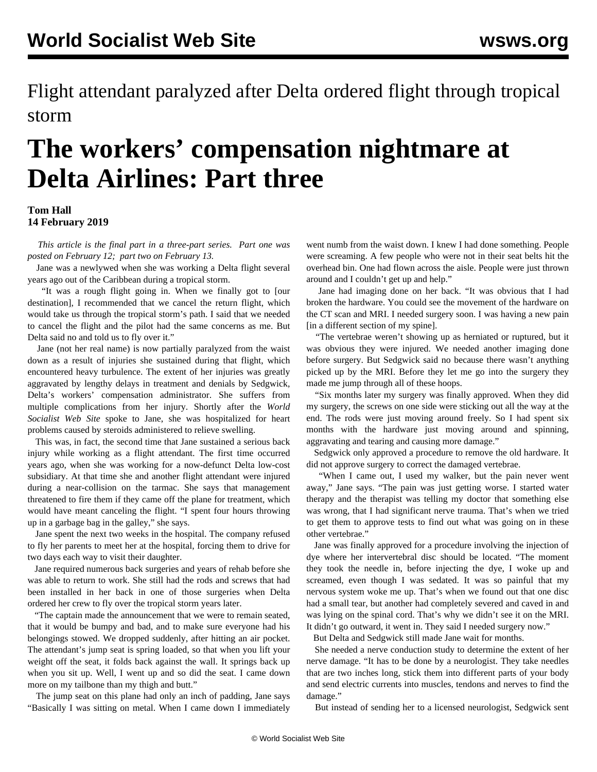Flight attendant paralyzed after Delta ordered flight through tropical storm

## **The workers' compensation nightmare at Delta Airlines: Part three**

## **Tom Hall 14 February 2019**

 *This article is the final part in a three-part series. [Part one](/en/articles/2019/02/12/delt-f12.html) was posted on February 12; [part two](/en/articles/2019/02/13/delt-f13.html) on February 13.*

 Jane was a newlywed when she was working a Delta flight several years ago out of the Caribbean during a tropical storm.

 "It was a rough flight going in. When we finally got to [our destination], I recommended that we cancel the return flight, which would take us through the tropical storm's path. I said that we needed to cancel the flight and the pilot had the same concerns as me. But Delta said no and told us to fly over it."

 Jane (not her real name) is now partially paralyzed from the waist down as a result of injuries she sustained during that flight, which encountered heavy turbulence. The extent of her injuries was greatly aggravated by lengthy delays in treatment and denials by Sedgwick, Delta's workers' compensation administrator. She suffers from multiple complications from her injury. Shortly after the *World Socialist Web Site* spoke to Jane, she was hospitalized for heart problems caused by steroids administered to relieve swelling.

 This was, in fact, the second time that Jane sustained a serious back injury while working as a flight attendant. The first time occurred years ago, when she was working for a now-defunct Delta low-cost subsidiary. At that time she and another flight attendant were injured during a near-collision on the tarmac. She says that management threatened to fire them if they came off the plane for treatment, which would have meant canceling the flight. "I spent four hours throwing up in a garbage bag in the galley," she says.

 Jane spent the next two weeks in the hospital. The company refused to fly her parents to meet her at the hospital, forcing them to drive for two days each way to visit their daughter.

 Jane required numerous back surgeries and years of rehab before she was able to return to work. She still had the rods and screws that had been installed in her back in one of those surgeries when Delta ordered her crew to fly over the tropical storm years later.

 "The captain made the announcement that we were to remain seated, that it would be bumpy and bad, and to make sure everyone had his belongings stowed. We dropped suddenly, after hitting an air pocket. The attendant's jump seat is spring loaded, so that when you lift your weight off the seat, it folds back against the wall. It springs back up when you sit up. Well, I went up and so did the seat. I came down more on my tailbone than my thigh and butt."

 The jump seat on this plane had only an inch of padding, Jane says "Basically I was sitting on metal. When I came down I immediately

went numb from the waist down. I knew I had done something. People were screaming. A few people who were not in their seat belts hit the overhead bin. One had flown across the aisle. People were just thrown around and I couldn't get up and help."

 Jane had imaging done on her back. "It was obvious that I had broken the hardware. You could see the movement of the hardware on the CT scan and MRI. I needed surgery soon. I was having a new pain [in a different section of my spine].

 "The vertebrae weren't showing up as herniated or ruptured, but it was obvious they were injured. We needed another imaging done before surgery. But Sedgwick said no because there wasn't anything picked up by the MRI. Before they let me go into the surgery they made me jump through all of these hoops.

 "Six months later my surgery was finally approved. When they did my surgery, the screws on one side were sticking out all the way at the end. The rods were just moving around freely. So I had spent six months with the hardware just moving around and spinning, aggravating and tearing and causing more damage."

 Sedgwick only approved a procedure to remove the old hardware. It did not approve surgery to correct the damaged vertebrae.

 "When I came out, I used my walker, but the pain never went away," Jane says. "The pain was just getting worse. I started water therapy and the therapist was telling my doctor that something else was wrong, that I had significant nerve trauma. That's when we tried to get them to approve tests to find out what was going on in these other vertebrae."

 Jane was finally approved for a procedure involving the injection of dye where her intervertebral disc should be located. "The moment they took the needle in, before injecting the dye, I woke up and screamed, even though I was sedated. It was so painful that my nervous system woke me up. That's when we found out that one disc had a small tear, but another had completely severed and caved in and was lying on the spinal cord. That's why we didn't see it on the MRI. It didn't go outward, it went in. They said I needed surgery now."

But Delta and Sedgwick still made Jane wait for months.

 She needed a nerve conduction study to determine the extent of her nerve damage. "It has to be done by a neurologist. They take needles that are two inches long, stick them into different parts of your body and send electric currents into muscles, tendons and nerves to find the damage."

But instead of sending her to a licensed neurologist, Sedgwick sent